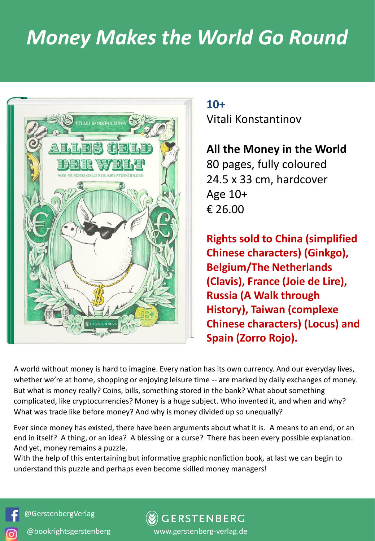## *Money Makes the World Go Round*



**10+**

Vitali Konstantinov

**All the Money in the World**  80 pages, fully coloured 24.5 x 33 cm, hardcover Age 10+ € 26.00

**Rights sold to China (simplified Chinese characters) (Ginkgo), Belgium/The Netherlands (Clavis), France (Joie de Lire), Russia (A Walk through History), Taiwan (complexe Chinese characters) (Locus) and Spain (Zorro Rojo).** 

A world without money is hard to imagine. Every nation has its own currency. And our everyday lives, whether we're at home, shopping or enjoying leisure time -- are marked by daily exchanges of money. But what is money really? Coins, bills, something stored in the bank? What about something complicated, like cryptocurrencies? Money is a huge subject. Who invented it, and when and why? What was trade like before money? And why is money divided up so unequally?

Ever since money has existed, there have been arguments about what it is. A means to an end, or an end in itself? A thing, or an idea? A blessing or a curse? There has been every possible explanation. And yet, money remains a puzzle.

With the help of this entertaining but informative graphic nonfiction book, at last we can begin to understand this puzzle and perhaps even become skilled money managers!

@GerstenbergVerlag

ര്ര

**GERSTENBERG** @bookrightsgerstenberg www.gerstenberg-verlag.de